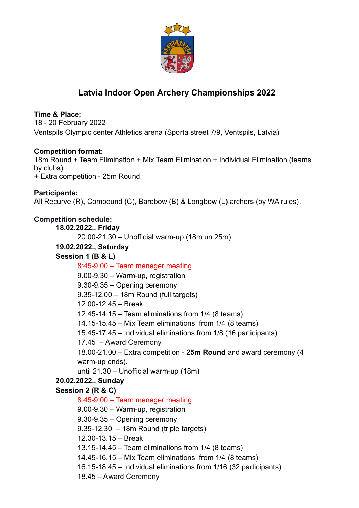

# **Latvia Indoor Open Archery Championships 2022**

# **Time & Place:**

18 - 20 February 2022 Ventspils Olympic center Athletics arena (Sporta street 7/9, Ventspils, Latvia)

# **Competition format:**

18m Round + Team Elimination + Mix Team Elimination + Individual Elimination (teams by clubs) + Extra competition - 25m Round

# **Participants:** All Recurve (R), Compound (C), Barebow (B) & Longbow (L) archers (by WA rules).

# **Competition schedule:**

**18.02.2022., Friday** 20.00-21.30 – Unofficial warm-up (18m un 25m) **19.02.2022., Saturday Session 1 (B & L)** 8:45-9.00 – Team meneger meating 9.00-9.30 – Warm-up, registration 9.30-9.35 – Opening ceremony 9.35-12.00 – 18m Round (full targets) 12.00-12.45 – Break 12.45-14.15 – Team eliminations from 1/4 (8 teams) 14.15-15.45 – Mix Team eliminations from 1/4 (8 teams) 15.45-17.45 – Individual eliminations from 1/8 (16 participants) 17.45 – Award Ceremony 18.00-21.00 – Extra competition - **25m Round** and award ceremony (4 warm-up ends). until 21.30 – Unofficial warm-up (18m) **20.02.2022., Sunday Session 2 (R & C)** 8:45-9.00 – Team meneger meating 9.00-9.30 – Warm-up, registration 9.30-9.35 – Opening ceremony 9.35-12.30 – 18m Round (triple targets) 12.30-13.15 – Break 13.15-14.45 – Team eliminations from 1/4 (8 teams) 14.45-16.15 – Mix Team eliminations from 1/4 (8 teams) 16.15-18.45 – Individual eliminations from 1/16 (32 participants) 18.45 – Award Ceremony